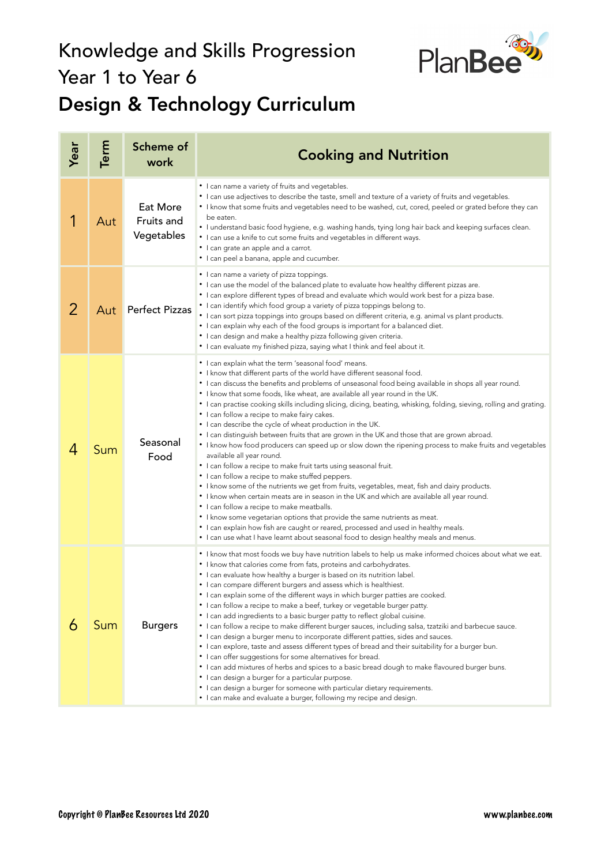## Knowledge and Skills Progression Year 1 to Year 6 Design & Technology Curriculum



| Year | Term | Scheme of<br>work                    | <b>Cooking and Nutrition</b>                                                                                                                                                                                                                                                                                                                                                                                                                                                                                                                                                                                                                                                                                                                                                                                                                                                                                                                                                                                                                                                                                                                                                                                                                                                                                                                                                                                                               |
|------|------|--------------------------------------|--------------------------------------------------------------------------------------------------------------------------------------------------------------------------------------------------------------------------------------------------------------------------------------------------------------------------------------------------------------------------------------------------------------------------------------------------------------------------------------------------------------------------------------------------------------------------------------------------------------------------------------------------------------------------------------------------------------------------------------------------------------------------------------------------------------------------------------------------------------------------------------------------------------------------------------------------------------------------------------------------------------------------------------------------------------------------------------------------------------------------------------------------------------------------------------------------------------------------------------------------------------------------------------------------------------------------------------------------------------------------------------------------------------------------------------------|
| 1    | Aut  | Eat More<br>Fruits and<br>Vegetables | • I can name a variety of fruits and vegetables.<br>• I can use adjectives to describe the taste, smell and texture of a variety of fruits and vegetables.<br>• I know that some fruits and vegetables need to be washed, cut, cored, peeled or grated before they can<br>be eaten.<br>• I understand basic food hygiene, e.g. washing hands, tying long hair back and keeping surfaces clean.<br>• I can use a knife to cut some fruits and vegetables in different ways.<br>• I can grate an apple and a carrot.<br>• I can peel a banana, apple and cucumber.                                                                                                                                                                                                                                                                                                                                                                                                                                                                                                                                                                                                                                                                                                                                                                                                                                                                           |
| 2    | Aut  | <b>Perfect Pizzas</b>                | • I can name a variety of pizza toppings.<br>• I can use the model of the balanced plate to evaluate how healthy different pizzas are.<br>• I can explore different types of bread and evaluate which would work best for a pizza base.<br>• I can identify which food group a variety of pizza toppings belong to.<br>• I can sort pizza toppings into groups based on different criteria, e.g. animal vs plant products.<br>• I can explain why each of the food groups is important for a balanced diet.<br>• I can design and make a healthy pizza following given criteria.<br>• I can evaluate my finished pizza, saying what I think and feel about it.                                                                                                                                                                                                                                                                                                                                                                                                                                                                                                                                                                                                                                                                                                                                                                             |
| 4    | Sum  | Seasonal<br>Food                     | • I can explain what the term 'seasonal food' means.<br>• I know that different parts of the world have different seasonal food.<br>• I can discuss the benefits and problems of unseasonal food being available in shops all year round.<br>. I know that some foods, like wheat, are available all year round in the UK.<br>• I can practise cooking skills including slicing, dicing, beating, whisking, folding, sieving, rolling and grating.<br>• I can follow a recipe to make fairy cakes.<br>• I can describe the cycle of wheat production in the UK.<br>• I can distinguish between fruits that are grown in the UK and those that are grown abroad.<br>I know how food producers can speed up or slow down the ripening process to make fruits and vegetables<br>available all year round.<br>• I can follow a recipe to make fruit tarts using seasonal fruit.<br>• I can follow a recipe to make stuffed peppers.<br>• I know some of the nutrients we get from fruits, vegetables, meat, fish and dairy products.<br>• I know when certain meats are in season in the UK and which are available all year round.<br>• I can follow a recipe to make meatballs.<br>• I know some vegetarian options that provide the same nutrients as meat.<br>• I can explain how fish are caught or reared, processed and used in healthy meals.<br>• I can use what I have learnt about seasonal food to design healthy meals and menus. |
| 6    | Sum  | <b>Burgers</b>                       | • I know that most foods we buy have nutrition labels to help us make informed choices about what we eat.<br>• I know that calories come from fats, proteins and carbohydrates.<br>• I can evaluate how healthy a burger is based on its nutrition label.<br>• I can compare different burgers and assess which is healthiest.<br>• I can explain some of the different ways in which burger patties are cooked.<br>• I can follow a recipe to make a beef, turkey or vegetable burger patty.<br>• I can add ingredients to a basic burger patty to reflect global cuisine.<br>• I can follow a recipe to make different burger sauces, including salsa, tzatziki and barbecue sauce.<br>• I can design a burger menu to incorporate different patties, sides and sauces.<br>• I can explore, taste and assess different types of bread and their suitability for a burger bun.<br>• I can offer suggestions for some alternatives for bread.<br>• I can add mixtures of herbs and spices to a basic bread dough to make flavoured burger buns.<br>• I can design a burger for a particular purpose.<br>• I can design a burger for someone with particular dietary requirements.<br>• I can make and evaluate a burger, following my recipe and design.                                                                                                                                                                                   |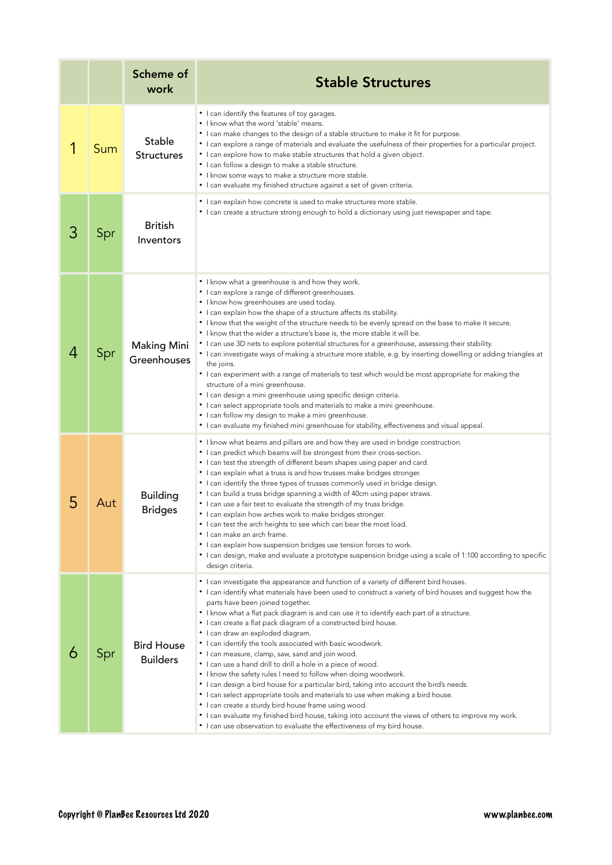|   |     | Scheme of<br>work                    | <b>Stable Structures</b>                                                                                                                                                                                                                                                                                                                                                                                                                                                                                                                                                                                                                                                                                                                                                                                                                                                                                                                                                                                                                                                                                                   |
|---|-----|--------------------------------------|----------------------------------------------------------------------------------------------------------------------------------------------------------------------------------------------------------------------------------------------------------------------------------------------------------------------------------------------------------------------------------------------------------------------------------------------------------------------------------------------------------------------------------------------------------------------------------------------------------------------------------------------------------------------------------------------------------------------------------------------------------------------------------------------------------------------------------------------------------------------------------------------------------------------------------------------------------------------------------------------------------------------------------------------------------------------------------------------------------------------------|
|   | Sum | Stable<br><b>Structures</b>          | • I can identify the features of toy garages.<br>• I know what the word 'stable' means.<br>• I can make changes to the design of a stable structure to make it fit for purpose.<br>• I can explore a range of materials and evaluate the usefulness of their properties for a particular project.<br>• I can explore how to make stable structures that hold a given object.<br>• I can follow a design to make a stable structure.<br>• I know some ways to make a structure more stable.<br>• I can evaluate my finished structure against a set of given criteria.                                                                                                                                                                                                                                                                                                                                                                                                                                                                                                                                                      |
| З | Spr | <b>British</b><br>Inventors          | • I can explain how concrete is used to make structures more stable.<br>• I can create a structure strong enough to hold a dictionary using just newspaper and tape.                                                                                                                                                                                                                                                                                                                                                                                                                                                                                                                                                                                                                                                                                                                                                                                                                                                                                                                                                       |
| 4 | Spr | <b>Making Mini</b><br>Greenhouses    | • I know what a greenhouse is and how they work.<br>• I can explore a range of different greenhouses.<br>• I know how greenhouses are used today.<br>• I can explain how the shape of a structure affects its stability.<br>• I know that the weight of the structure needs to be evenly spread on the base to make it secure.<br>• I know that the wider a structure's base is, the more stable it will be.<br>• I can use 3D nets to explore potential structures for a greenhouse, assessing their stability.<br>• I can investigate ways of making a structure more stable, e.g. by inserting dowelling or adding triangles at<br>the joins.<br>• I can experiment with a range of materials to test which would be most appropriate for making the<br>structure of a mini greenhouse.<br>• I can design a mini greenhouse using specific design criteria.<br>• I can select appropriate tools and materials to make a mini greenhouse.<br>• I can follow my design to make a mini greenhouse.<br>• I can evaluate my finished mini greenhouse for stability, effectiveness and visual appeal.                         |
| 5 | Aut | <b>Building</b><br><b>Bridges</b>    | • I know what beams and pillars are and how they are used in bridge construction.<br>• I can predict which beams will be strongest from their cross-section.<br>• I can test the strength of different beam shapes using paper and card.<br>• I can explain what a truss is and how trusses make bridges stronger.<br>• I can identify the three types of trusses commonly used in bridge design.<br>• I can build a truss bridge spanning a width of 40cm using paper straws.<br>• I can use a fair test to evaluate the strength of my truss bridge.<br>• I can explain how arches work to make bridges stronger.<br>• I can test the arch heights to see which can bear the most load.<br>• I can make an arch frame.<br>• I can explain how suspension bridges use tension forces to work.<br>• I can design, make and evaluate a prototype suspension bridge using a scale of 1:100 according to specific<br>design criteria.                                                                                                                                                                                         |
| O | Spr | <b>Bird House</b><br><b>Builders</b> | • I can investigate the appearance and function of a variety of different bird houses.<br>• I can identify what materials have been used to construct a variety of bird houses and suggest how the<br>parts have been joined together.<br>• I know what a flat pack diagram is and can use it to identify each part of a structure.<br>• I can create a flat pack diagram of a constructed bird house.<br>· I can draw an exploded diagram.<br>• I can identify the tools associated with basic woodwork.<br>• I can measure, clamp, saw, sand and join wood.<br>• I can use a hand drill to drill a hole in a piece of wood.<br>• I know the safety rules I need to follow when doing woodwork.<br>• I can design a bird house for a particular bird, taking into account the bird's needs.<br>• I can select appropriate tools and materials to use when making a bird house.<br>• I can create a sturdy bird house frame using wood.<br>• I can evaluate my finished bird house, taking into account the views of others to improve my work.<br>• I can use observation to evaluate the effectiveness of my bird house. |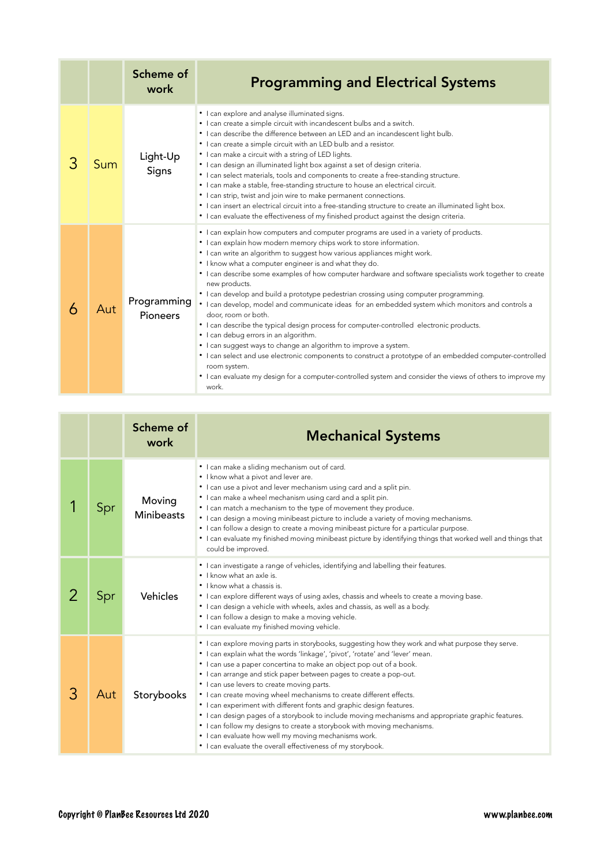|   |     | Scheme of<br>work       | <b>Programming and Electrical Systems</b>                                                                                                                                                                                                                                                                                                                                                                                                                                                                                                                                                                                                                                                                                                                                                                                                                                                                                                                                                                                                                                                                        |
|---|-----|-------------------------|------------------------------------------------------------------------------------------------------------------------------------------------------------------------------------------------------------------------------------------------------------------------------------------------------------------------------------------------------------------------------------------------------------------------------------------------------------------------------------------------------------------------------------------------------------------------------------------------------------------------------------------------------------------------------------------------------------------------------------------------------------------------------------------------------------------------------------------------------------------------------------------------------------------------------------------------------------------------------------------------------------------------------------------------------------------------------------------------------------------|
| З | Sum | Light-Up<br>Signs       | • I can explore and analyse illuminated signs.<br>• I can create a simple circuit with incandescent bulbs and a switch.<br>• I can describe the difference between an LED and an incandescent light bulb.<br>• I can create a simple circuit with an LED bulb and a resistor.<br>• I can make a circuit with a string of LED lights.<br>• I can design an illuminated light box against a set of design criteria.<br>• I can select materials, tools and components to create a free-standing structure.<br>• I can make a stable, free-standing structure to house an electrical circuit.<br>• I can strip, twist and join wire to make permanent connections.<br>• I can insert an electrical circuit into a free-standing structure to create an illuminated light box.<br>• I can evaluate the effectiveness of my finished product against the design criteria.                                                                                                                                                                                                                                             |
|   | Aut | Programming<br>Pioneers | • I can explain how computers and computer programs are used in a variety of products.<br>• I can explain how modern memory chips work to store information.<br>• I can write an algorithm to suggest how various appliances might work.<br>• I know what a computer engineer is and what they do.<br>• I can describe some examples of how computer hardware and software specialists work together to create<br>new products.<br>• I can develop and build a prototype pedestrian crossing using computer programming.<br>· I can develop, model and communicate ideas for an embedded system which monitors and controls a<br>door, room or both.<br>• I can describe the typical design process for computer-controlled electronic products.<br>• I can debug errors in an algorithm.<br>• I can suggest ways to change an algorithm to improve a system.<br>• I can select and use electronic components to construct a prototype of an embedded computer-controlled<br>room system.<br>• I can evaluate my design for a computer-controlled system and consider the views of others to improve my<br>work. |

|   |     | Scheme of<br>work           | <b>Mechanical Systems</b>                                                                                                                                                                                                                                                                                                                                                                                                                                                                                                                                                                                                                                                                                                                                                                                                            |
|---|-----|-----------------------------|--------------------------------------------------------------------------------------------------------------------------------------------------------------------------------------------------------------------------------------------------------------------------------------------------------------------------------------------------------------------------------------------------------------------------------------------------------------------------------------------------------------------------------------------------------------------------------------------------------------------------------------------------------------------------------------------------------------------------------------------------------------------------------------------------------------------------------------|
|   | Spr | Moving<br><b>Minibeasts</b> | • I can make a sliding mechanism out of card.<br>• I know what a pivot and lever are.<br>• I can use a pivot and lever mechanism using card and a split pin.<br>• I can make a wheel mechanism using card and a split pin.<br>• I can match a mechanism to the type of movement they produce.<br>• I can design a moving minibeast picture to include a variety of moving mechanisms.<br>• I can follow a design to create a moving minibeast picture for a particular purpose.<br>• I can evaluate my finished moving minibeast picture by identifying things that worked well and things that<br>could be improved.                                                                                                                                                                                                                |
|   | Spr | Vehicles                    | • I can investigate a range of vehicles, identifying and labelling their features.<br>• I know what an axle is.<br>• I know what a chassis is.<br>• I can explore different ways of using axles, chassis and wheels to create a moving base.<br>• I can design a vehicle with wheels, axles and chassis, as well as a body.<br>• I can follow a design to make a moving vehicle.<br>• I can evaluate my finished moving vehicle.                                                                                                                                                                                                                                                                                                                                                                                                     |
| 3 | Aut | Storybooks                  | • I can explore moving parts in storybooks, suggesting how they work and what purpose they serve.<br>• I can explain what the words 'linkage', 'pivot', 'rotate' and 'lever' mean.<br>• I can use a paper concertina to make an object pop out of a book.<br>• I can arrange and stick paper between pages to create a pop-out.<br>• I can use levers to create moving parts.<br>• I can create moving wheel mechanisms to create different effects.<br>• I can experiment with different fonts and graphic design features.<br>• I can design pages of a storybook to include moving mechanisms and appropriate graphic features.<br>• I can follow my designs to create a storybook with moving mechanisms.<br>• I can evaluate how well my moving mechanisms work.<br>• I can evaluate the overall effectiveness of my storybook. |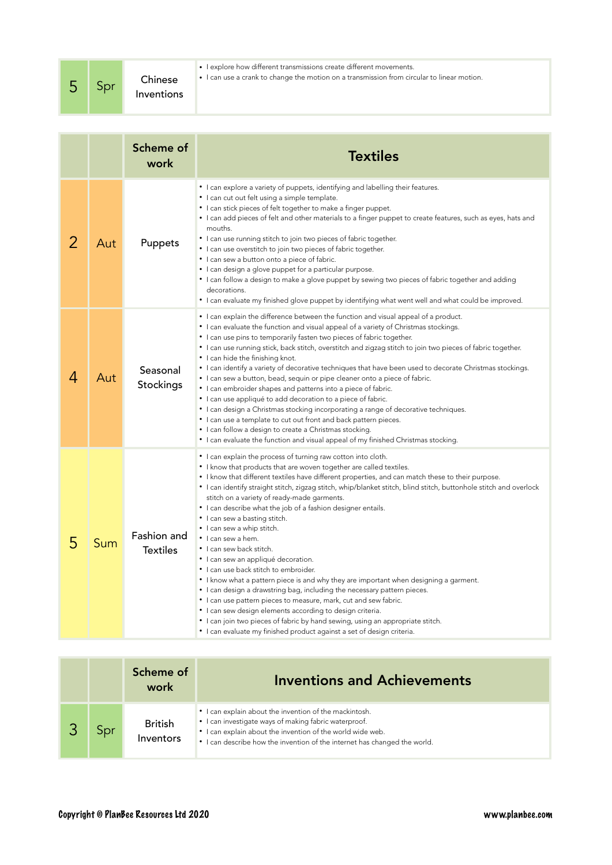|  | Spr | Chinese<br>Inventions | • Lexplore how different transmissions create different movements.<br>• I can use a crank to change the motion on a transmission from circular to linear motion. |
|--|-----|-----------------------|------------------------------------------------------------------------------------------------------------------------------------------------------------------|
|--|-----|-----------------------|------------------------------------------------------------------------------------------------------------------------------------------------------------------|

|   |     | Scheme of<br>work              | <b>Textiles</b>                                                                                                                                                                                                                                                                                                                                                                                                                                                                                                                                                                                                                                                                                                                                                                                                                                                                                                                                                                                                                                                                                                                                   |
|---|-----|--------------------------------|---------------------------------------------------------------------------------------------------------------------------------------------------------------------------------------------------------------------------------------------------------------------------------------------------------------------------------------------------------------------------------------------------------------------------------------------------------------------------------------------------------------------------------------------------------------------------------------------------------------------------------------------------------------------------------------------------------------------------------------------------------------------------------------------------------------------------------------------------------------------------------------------------------------------------------------------------------------------------------------------------------------------------------------------------------------------------------------------------------------------------------------------------|
| 2 | Aut | Puppets                        | • I can explore a variety of puppets, identifying and labelling their features.<br>• I can cut out felt using a simple template.<br>• I can stick pieces of felt together to make a finger puppet.<br>• I can add pieces of felt and other materials to a finger puppet to create features, such as eyes, hats and<br>mouths.<br>• I can use running stitch to join two pieces of fabric together.<br>• I can use overstitch to join two pieces of fabric together.<br>• I can sew a button onto a piece of fabric.<br>• I can design a glove puppet for a particular purpose.<br>• I can follow a design to make a glove puppet by sewing two pieces of fabric together and adding<br>decorations.<br>• I can evaluate my finished glove puppet by identifying what went well and what could be improved.                                                                                                                                                                                                                                                                                                                                        |
| 4 | Aut | Seasonal<br>Stockings          | • I can explain the difference between the function and visual appeal of a product.<br>• I can evaluate the function and visual appeal of a variety of Christmas stockings.<br>• I can use pins to temporarily fasten two pieces of fabric together.<br>• I can use running stick, back stitch, overstitch and zigzag stitch to join two pieces of fabric together.<br>• I can hide the finishing knot.<br>• I can identify a variety of decorative techniques that have been used to decorate Christmas stockings.<br>• I can sew a button, bead, sequin or pipe cleaner onto a piece of fabric.<br>• I can embroider shapes and patterns into a piece of fabric.<br>• I can use appliqué to add decoration to a piece of fabric.<br>• I can design a Christmas stocking incorporating a range of decorative techniques.<br>• I can use a template to cut out front and back pattern pieces.<br>• I can follow a design to create a Christmas stocking.<br>• I can evaluate the function and visual appeal of my finished Christmas stocking.                                                                                                    |
| 5 | Sum | Fashion and<br><b>Textiles</b> | • I can explain the process of turning raw cotton into cloth.<br>• I know that products that are woven together are called textiles.<br>• I know that different textiles have different properties, and can match these to their purpose.<br>• I can identify straight stitch, zigzag stitch, whip/blanket stitch, blind stitch, buttonhole stitch and overlock<br>stitch on a variety of ready-made garments.<br>• I can describe what the job of a fashion designer entails.<br>• I can sew a basting stitch.<br>• I can sew a whip stitch.<br>· I can sew a hem.<br>· I can sew back stitch.<br>• I can sew an appliqué decoration.<br>• I can use back stitch to embroider.<br>• I know what a pattern piece is and why they are important when designing a garment.<br>• I can design a drawstring bag, including the necessary pattern pieces.<br>• I can use pattern pieces to measure, mark, cut and sew fabric.<br>• I can sew design elements according to design criteria.<br>• I can join two pieces of fabric by hand sewing, using an appropriate stitch.<br>• I can evaluate my finished product against a set of design criteria. |

|     | Scheme of<br>work           | <b>Inventions and Achievements</b>                                                                                                                                                                                                                         |
|-----|-----------------------------|------------------------------------------------------------------------------------------------------------------------------------------------------------------------------------------------------------------------------------------------------------|
| Spr | <b>British</b><br>Inventors | • I can explain about the invention of the mackintosh.<br>• I can investigate ways of making fabric waterproof.<br>• I can explain about the invention of the world wide web.<br>• I can describe how the invention of the internet has changed the world. |